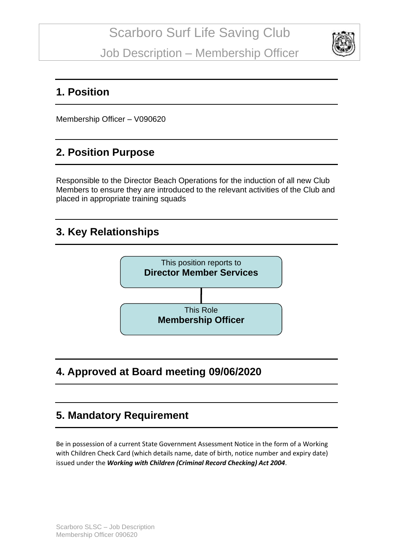

#### **1. Position**

Membership Officer – V090620

## **2. Position Purpose**

Responsible to the Director Beach Operations for the induction of all new Club Members to ensure they are introduced to the relevant activities of the Club and placed in appropriate training squads

#### **3. Key Relationships**



# **4. Approved at Board meeting 09/06/2020**

## **5. Mandatory Requirement**

Be in possession of a current State Government Assessment Notice in the form of a Working with Children Check Card (which details name, date of birth, notice number and expiry date) issued under the *Working with Children (Criminal Record Checking) Act 2004*.